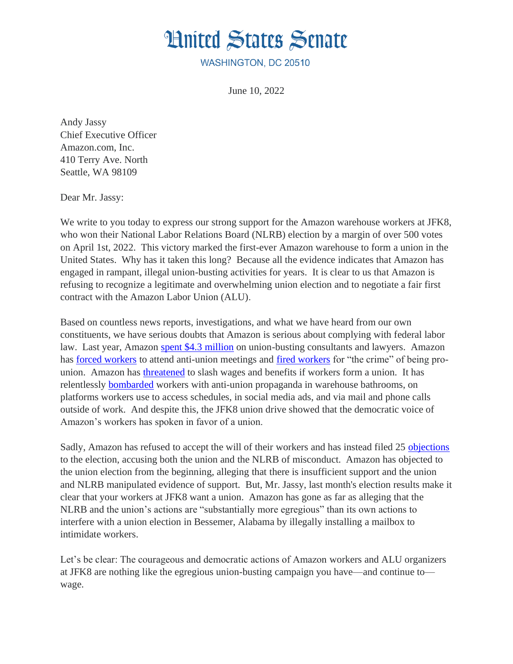## **Hnited States Senate**

WASHINGTON, DC 20510

June 10, 2022

Andy Jassy Chief Executive Officer Amazon.com, Inc. 410 Terry Ave. North Seattle, WA 98109

Dear Mr. Jassy:

We write to you today to express our strong support for the Amazon warehouse workers at JFK8, who won their National Labor Relations Board (NLRB) election by a margin of over 500 votes on April 1st, 2022. This victory marked the first-ever Amazon warehouse to form a union in the United States. Why has it taken this long? Because all the evidence indicates that Amazon has engaged in rampant, illegal union-busting activities for years. It is clear to us that Amazon is refusing to recognize a legitimate and overwhelming union election and to negotiate a fair first contract with the Amazon Labor Union (ALU). 

Based on countless news reports, investigations, and what we have heard from our own constituents, we have serious doubts that Amazon is serious about complying with federal labor law. Last year, Amazon [spent \\$4.3 million](https://www.huffpost.com/entry/amazon-anti-union-consultants_n_62449258e4b0742dfa5a74fb) on union-busting consultants and lawyers. Amazon has [forced workers](https://www.nytimes.com/2022/03/24/business/amazon-meetings-union-elections.html) to attend anti-union meetings and [fired workers](https://www.nytimes.com/2022/05/06/technology/amazon-fires-managers-union-staten-island.html) for "the crime" of being prounion. Amazon has [threatened](https://www.vice.com/en/article/jgmbvg/leaked-audio-amazon-union-buster-warns-workers-things-could-become-worse) to slash wages and benefits if workers form a union. It has relentlessly [bombarded](https://www.vice.com/en/article/xgdpqj/amazon-is-bombarding-workers-with-union-busting-messages) workers with anti-union propaganda in warehouse bathrooms, on platforms workers use to access schedules, in social media ads, and via mail and phone calls outside of work. And despite this, the JFK8 union drive showed that the democratic voice of Amazon's workers has spoken in favor of a union.

Sadly, Amazon has refused to accept the will of their workers and has instead filed 25 [objections](https://apps.nlrb.gov/link/document.aspx/09031d458372684c) to the election, accusing both the union and the NLRB of misconduct. Amazon has objected to the union election from the beginning, alleging that there is insufficient support and the union and NLRB manipulated evidence of support. But, Mr. Jassy, last month's election results make it clear that your workers at JFK8 want a union. Amazon has gone as far as alleging that the NLRB and the union's actions are "substantially more egregious" than its own actions to interfere with a union election in Bessemer, Alabama by illegally installing a mailbox to intimidate workers.

Let's be clear: The courageous and democratic actions of Amazon workers and ALU organizers at JFK8 are nothing like the egregious union-busting campaign you have—and continue to wage.